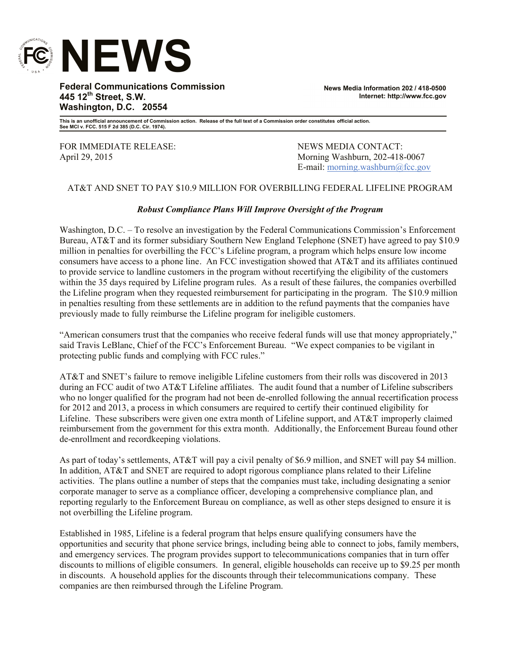

**Federal Communications Commission 445 12th Street, S.W. Washington, D.C. 20554**

**News Media Information 202 / 418-0500 Internet: http://www.fcc.gov**

**This is an unofficial announcement of Commission action. Release of the full text of a Commission order constitutes official action. See MCI v. FCC. 515 F 2d 385 (D.C. Cir. 1974).**

FOR IMMEDIATE RELEASE: NEWS MEDIA CONTACT:

April 29, 2015 Morning Washburn, 202-418-0067 E-mail: morning.washburn@fcc.gov

## AT&T AND SNET TO PAY \$10.9 MILLION FOR OVERBILLING FEDERAL LIFELINE PROGRAM

## *Robust Compliance Plans Will Improve Oversight of the Program*

Washington, D.C. – To resolve an investigation by the Federal Communications Commission's Enforcement Bureau, AT&T and its former subsidiary Southern New England Telephone (SNET) have agreed to pay \$10.9 million in penalties for overbilling the FCC's Lifeline program, a program which helps ensure low income consumers have access to a phone line. An FCC investigation showed that AT&T and its affiliates continued to provide service to landline customers in the program without recertifying the eligibility of the customers within the 35 days required by Lifeline program rules. As a result of these failures, the companies overbilled the Lifeline program when they requested reimbursement for participating in the program. The \$10.9 million in penalties resulting from these settlements are in addition to the refund payments that the companies have previously made to fully reimburse the Lifeline program for ineligible customers.

"American consumers trust that the companies who receive federal funds will use that money appropriately," said Travis LeBlanc, Chief of the FCC's Enforcement Bureau. "We expect companies to be vigilant in protecting public funds and complying with FCC rules."

AT&T and SNET's failure to remove ineligible Lifeline customers from their rolls was discovered in 2013 during an FCC audit of two AT&T Lifeline affiliates. The audit found that a number of Lifeline subscribers who no longer qualified for the program had not been de-enrolled following the annual recertification process for 2012 and 2013, a process in which consumers are required to certify their continued eligibility for Lifeline. These subscribers were given one extra month of Lifeline support, and AT&T improperly claimed reimbursement from the government for this extra month. Additionally, the Enforcement Bureau found other de-enrollment and recordkeeping violations.

As part of today's settlements, AT&T will pay a civil penalty of \$6.9 million, and SNET will pay \$4 million. In addition, AT&T and SNET are required to adopt rigorous compliance plans related to their Lifeline activities. The plans outline a number of steps that the companies must take, including designating a senior corporate manager to serve as a compliance officer, developing a comprehensive compliance plan, and reporting regularly to the Enforcement Bureau on compliance, as well as other steps designed to ensure it is not overbilling the Lifeline program.

Established in 1985, Lifeline is a federal program that helps ensure qualifying consumers have the opportunities and security that phone service brings, including being able to connect to jobs, family members, and emergency services. The program provides support to telecommunications companies that in turn offer discounts to millions of eligible consumers. In general, eligible households can receive up to \$9.25 per month in discounts. A household applies for the discounts through their telecommunications company. These companies are then reimbursed through the Lifeline Program.